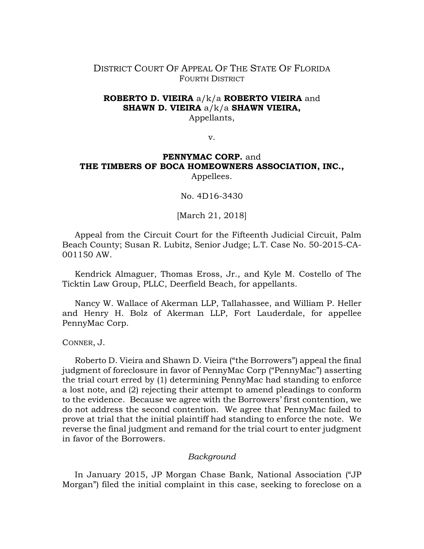# DISTRICT COURT OF APPEAL OF THE STATE OF FLORIDA FOURTH DISTRICT

### **ROBERTO D. VIEIRA** a/k/a **ROBERTO VIEIRA** and **SHAWN D. VIEIRA** a/k/a **SHAWN VIEIRA,** Appellants,

v.

# **PENNYMAC CORP.** and **THE TIMBERS OF BOCA HOMEOWNERS ASSOCIATION, INC.,** Appellees.

No. 4D16-3430

[March 21, 2018]

Appeal from the Circuit Court for the Fifteenth Judicial Circuit, Palm Beach County; Susan R. Lubitz, Senior Judge; L.T. Case No. 50-2015-CA-001150 AW.

Kendrick Almaguer, Thomas Eross, Jr., and Kyle M. Costello of The Ticktin Law Group, PLLC, Deerfield Beach, for appellants.

Nancy W. Wallace of Akerman LLP, Tallahassee, and William P. Heller and Henry H. Bolz of Akerman LLP, Fort Lauderdale, for appellee PennyMac Corp.

CONNER, J.

Roberto D. Vieira and Shawn D. Vieira ("the Borrowers") appeal the final judgment of foreclosure in favor of PennyMac Corp ("PennyMac") asserting the trial court erred by (1) determining PennyMac had standing to enforce a lost note, and (2) rejecting their attempt to amend pleadings to conform to the evidence. Because we agree with the Borrowers' first contention, we do not address the second contention. We agree that PennyMac failed to prove at trial that the initial plaintiff had standing to enforce the note. We reverse the final judgment and remand for the trial court to enter judgment in favor of the Borrowers.

#### *Background*

In January 2015, JP Morgan Chase Bank, National Association ("JP Morgan") filed the initial complaint in this case, seeking to foreclose on a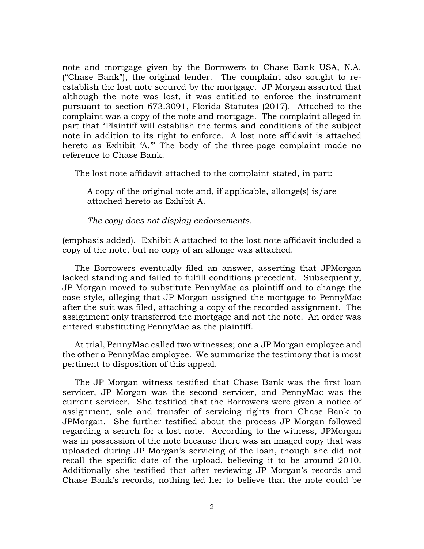note and mortgage given by the Borrowers to Chase Bank USA, N.A. ("Chase Bank"), the original lender. The complaint also sought to reestablish the lost note secured by the mortgage. JP Morgan asserted that although the note was lost, it was entitled to enforce the instrument pursuant to section 673.3091, Florida Statutes (2017). Attached to the complaint was a copy of the note and mortgage. The complaint alleged in part that "Plaintiff will establish the terms and conditions of the subject note in addition to its right to enforce. A lost note affidavit is attached hereto as Exhibit 'A.'" The body of the three-page complaint made no reference to Chase Bank.

The lost note affidavit attached to the complaint stated, in part:

A copy of the original note and, if applicable, allonge(s) is/are attached hereto as Exhibit A.

*The copy does not display endorsements*.

(emphasis added). Exhibit A attached to the lost note affidavit included a copy of the note, but no copy of an allonge was attached.

The Borrowers eventually filed an answer, asserting that JPMorgan lacked standing and failed to fulfill conditions precedent. Subsequently, JP Morgan moved to substitute PennyMac as plaintiff and to change the case style, alleging that JP Morgan assigned the mortgage to PennyMac after the suit was filed, attaching a copy of the recorded assignment. The assignment only transferred the mortgage and not the note. An order was entered substituting PennyMac as the plaintiff.

At trial, PennyMac called two witnesses; one a JP Morgan employee and the other a PennyMac employee. We summarize the testimony that is most pertinent to disposition of this appeal.

The JP Morgan witness testified that Chase Bank was the first loan servicer, JP Morgan was the second servicer, and PennyMac was the current servicer. She testified that the Borrowers were given a notice of assignment, sale and transfer of servicing rights from Chase Bank to JPMorgan. She further testified about the process JP Morgan followed regarding a search for a lost note. According to the witness, JPMorgan was in possession of the note because there was an imaged copy that was uploaded during JP Morgan's servicing of the loan, though she did not recall the specific date of the upload, believing it to be around 2010. Additionally she testified that after reviewing JP Morgan's records and Chase Bank's records, nothing led her to believe that the note could be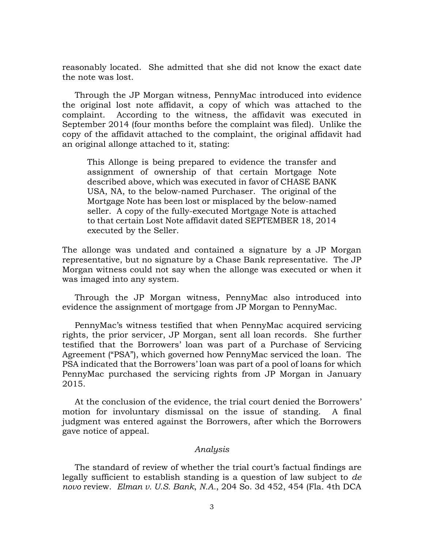reasonably located. She admitted that she did not know the exact date the note was lost.

Through the JP Morgan witness, PennyMac introduced into evidence the original lost note affidavit, a copy of which was attached to the complaint. According to the witness, the affidavit was executed in September 2014 (four months before the complaint was filed). Unlike the copy of the affidavit attached to the complaint, the original affidavit had an original allonge attached to it, stating:

This Allonge is being prepared to evidence the transfer and assignment of ownership of that certain Mortgage Note described above, which was executed in favor of CHASE BANK USA, NA, to the below-named Purchaser. The original of the Mortgage Note has been lost or misplaced by the below-named seller. A copy of the fully-executed Mortgage Note is attached to that certain Lost Note affidavit dated SEPTEMBER 18, 2014 executed by the Seller.

The allonge was undated and contained a signature by a JP Morgan representative, but no signature by a Chase Bank representative. The JP Morgan witness could not say when the allonge was executed or when it was imaged into any system.

Through the JP Morgan witness, PennyMac also introduced into evidence the assignment of mortgage from JP Morgan to PennyMac.

PennyMac's witness testified that when PennyMac acquired servicing rights, the prior servicer, JP Morgan, sent all loan records. She further testified that the Borrowers' loan was part of a Purchase of Servicing Agreement ("PSA"), which governed how PennyMac serviced the loan. The PSA indicated that the Borrowers' loan was part of a pool of loans for which PennyMac purchased the servicing rights from JP Morgan in January 2015.

At the conclusion of the evidence, the trial court denied the Borrowers' motion for involuntary dismissal on the issue of standing. A final judgment was entered against the Borrowers, after which the Borrowers gave notice of appeal.

#### *Analysis*

The standard of review of whether the trial court's factual findings are legally sufficient to establish standing is a question of law subject to *de novo* review. *Elman v. U.S. Bank*, *N.A.*, 204 So. 3d 452, 454 (Fla. 4th DCA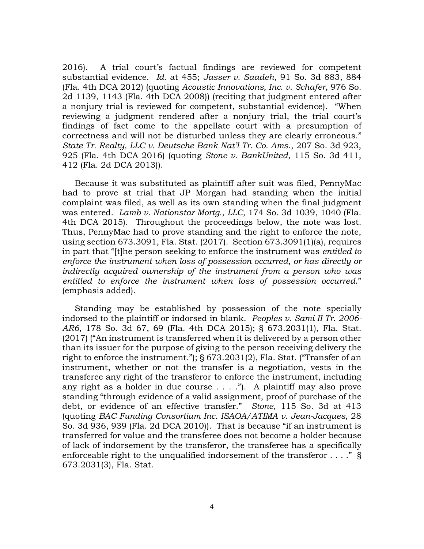2016). A trial court's factual findings are reviewed for competent substantial evidence. *Id.* at 455; *Jasser v. Saadeh*, 91 So. 3d 883, 884 (Fla. 4th DCA 2012) (quoting *Acoustic Innovations, Inc. v. Schafer*, 976 So. 2d 1139, 1143 (Fla. 4th DCA 2008)) (reciting that judgment entered after a nonjury trial is reviewed for competent, substantial evidence). "When reviewing a judgment rendered after a nonjury trial, the trial court's findings of fact come to the appellate court with a presumption of correctness and will not be disturbed unless they are clearly erroneous." *State Tr. Realty, LLC v. Deutsche Bank Nat'l Tr. Co. Ams*., 207 So. 3d 923, 925 (Fla. 4th DCA 2016) (quoting *Stone v. BankUnited*, 115 So. 3d 411, 412 (Fla. 2d DCA 2013)).

Because it was substituted as plaintiff after suit was filed, PennyMac had to prove at trial that JP Morgan had standing when the initial complaint was filed, as well as its own standing when the final judgment was entered. *Lamb v. Nationstar Mortg.*, *LLC*, 174 So. 3d 1039, 1040 (Fla. 4th DCA 2015). Throughout the proceedings below, the note was lost. Thus, PennyMac had to prove standing and the right to enforce the note, using section 673.3091, Fla. Stat. (2017). Section 673.3091(1)(a), requires in part that "[t]he person seeking to enforce the instrument was *entitled to enforce the instrument when loss of possession occurred, or has directly or indirectly acquired ownership of the instrument from a person who was entitled to enforce the instrument when loss of possession occurred*." (emphasis added).

Standing may be established by possession of the note specially indorsed to the plaintiff or indorsed in blank. *Peoples v. Sami II Tr. 2006- AR6*, 178 So. 3d 67, 69 (Fla. 4th DCA 2015); § 673.2031(1), Fla. Stat. (2017) ("An instrument is transferred when it is delivered by a person other than its issuer for the purpose of giving to the person receiving delivery the right to enforce the instrument."); § 673.2031(2), Fla. Stat. ("Transfer of an instrument, whether or not the transfer is a negotiation, vests in the transferee any right of the transferor to enforce the instrument, including any right as a holder in due course . . . ."). A plaintiff may also prove standing "through evidence of a valid assignment, proof of purchase of the debt, or evidence of an effective transfer." *Stone*, 115 So. 3d at 413 (quoting *BAC Funding Consortium Inc. ISAOA/ATIMA v. Jean-Jacques*, 28 So. 3d 936, 939 (Fla. 2d DCA 2010)). That is because "if an instrument is transferred for value and the transferee does not become a holder because of lack of indorsement by the transferor, the transferee has a specifically enforceable right to the unqualified indorsement of the transferor . . . ." § 673.2031(3), Fla. Stat.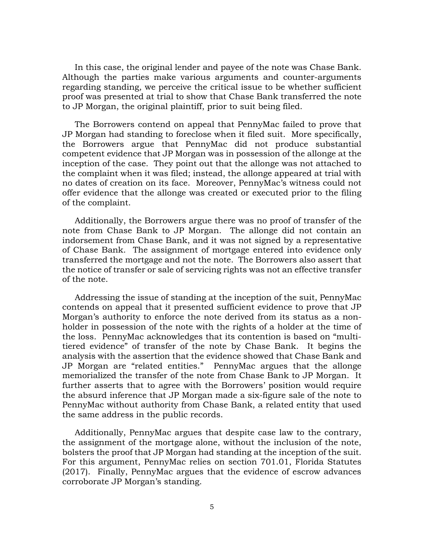In this case, the original lender and payee of the note was Chase Bank. Although the parties make various arguments and counter-arguments regarding standing, we perceive the critical issue to be whether sufficient proof was presented at trial to show that Chase Bank transferred the note to JP Morgan, the original plaintiff, prior to suit being filed.

The Borrowers contend on appeal that PennyMac failed to prove that JP Morgan had standing to foreclose when it filed suit. More specifically, the Borrowers argue that PennyMac did not produce substantial competent evidence that JP Morgan was in possession of the allonge at the inception of the case. They point out that the allonge was not attached to the complaint when it was filed; instead, the allonge appeared at trial with no dates of creation on its face. Moreover, PennyMac's witness could not offer evidence that the allonge was created or executed prior to the filing of the complaint.

Additionally, the Borrowers argue there was no proof of transfer of the note from Chase Bank to JP Morgan. The allonge did not contain an indorsement from Chase Bank, and it was not signed by a representative of Chase Bank. The assignment of mortgage entered into evidence only transferred the mortgage and not the note. The Borrowers also assert that the notice of transfer or sale of servicing rights was not an effective transfer of the note.

Addressing the issue of standing at the inception of the suit, PennyMac contends on appeal that it presented sufficient evidence to prove that JP Morgan's authority to enforce the note derived from its status as a nonholder in possession of the note with the rights of a holder at the time of the loss. PennyMac acknowledges that its contention is based on "multitiered evidence" of transfer of the note by Chase Bank. It begins the analysis with the assertion that the evidence showed that Chase Bank and JP Morgan are "related entities." PennyMac argues that the allonge memorialized the transfer of the note from Chase Bank to JP Morgan. It further asserts that to agree with the Borrowers' position would require the absurd inference that JP Morgan made a six-figure sale of the note to PennyMac without authority from Chase Bank, a related entity that used the same address in the public records.

Additionally, PennyMac argues that despite case law to the contrary, the assignment of the mortgage alone, without the inclusion of the note, bolsters the proof that JP Morgan had standing at the inception of the suit. For this argument, PennyMac relies on section 701.01, Florida Statutes (2017). Finally, PennyMac argues that the evidence of escrow advances corroborate JP Morgan's standing.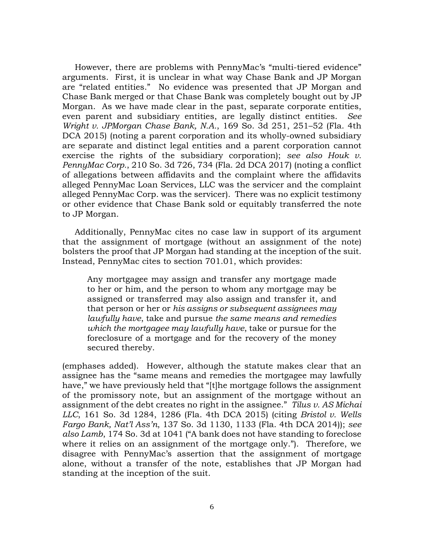However, there are problems with PennyMac's "multi-tiered evidence" arguments. First, it is unclear in what way Chase Bank and JP Morgan are "related entities." No evidence was presented that JP Morgan and Chase Bank merged or that Chase Bank was completely bought out by JP Morgan. As we have made clear in the past, separate corporate entities, even parent and subsidiary entities, are legally distinct entities. *See Wright v. JPMorgan Chase Bank, N.A.*, 169 So. 3d 251, 251–52 (Fla. 4th DCA 2015) (noting a parent corporation and its wholly-owned subsidiary are separate and distinct legal entities and a parent corporation cannot exercise the rights of the subsidiary corporation); *see also Houk v. PennyMac Corp.*, 210 So. 3d 726, 734 (Fla. 2d DCA 2017) (noting a conflict of allegations between affidavits and the complaint where the affidavits alleged PennyMac Loan Services, LLC was the servicer and the complaint alleged PennyMac Corp. was the servicer). There was no explicit testimony or other evidence that Chase Bank sold or equitably transferred the note to JP Morgan.

Additionally, PennyMac cites no case law in support of its argument that the assignment of mortgage (without an assignment of the note) bolsters the proof that JP Morgan had standing at the inception of the suit. Instead, PennyMac cites to section 701.01, which provides:

Any mortgagee may assign and transfer any mortgage made to her or him, and the person to whom any mortgage may be assigned or transferred may also assign and transfer it, and that person or her or *his assigns or subsequent assignees may lawfully have*, take and pursue *the same means and remedies which the mortgagee may lawfully have*, take or pursue for the foreclosure of a mortgage and for the recovery of the money secured thereby.

(emphases added). However, although the statute makes clear that an assignee has the "same means and remedies the mortgagee may lawfully have," we have previously held that "[t]he mortgage follows the assignment of the promissory note, but an assignment of the mortgage without an assignment of the debt creates no right in the assignee." *Tilus v. AS Michai LLC*, 161 So. 3d 1284, 1286 (Fla. 4th DCA 2015) (citing *Bristol v. Wells Fargo Bank, Nat'l Ass'n*, 137 So. 3d 1130, 1133 (Fla. 4th DCA 2014)); *see also Lamb*, 174 So. 3d at 1041 ("A bank does not have standing to foreclose where it relies on an assignment of the mortgage only."). Therefore, we disagree with PennyMac's assertion that the assignment of mortgage alone, without a transfer of the note, establishes that JP Morgan had standing at the inception of the suit.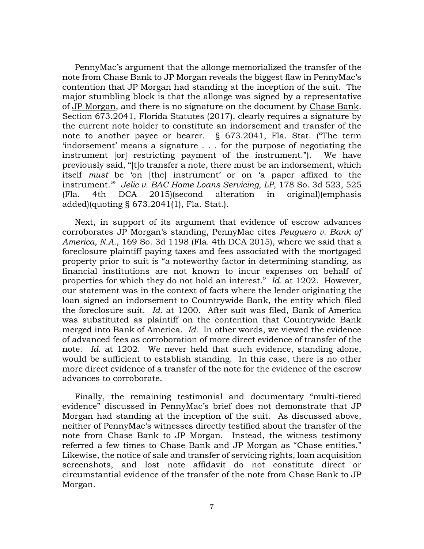PennyMac's argument that the allonge memorialized the transfer of the note from Chase Bank to JP Morgan reveals the biggest flaw in PennyMac's contention that JP Morgan had standing at the inception of the suit. The major stumbling block is that the allonge was signed by a representative of JP Morgan, and there is no signature on the document by Chase Bank. Section 673.2041, Florida Statutes (2017), clearly requires a signature by the current note holder to constitute an indorsement and transfer of the note to another payee or bearer. § 673.2041, Fla. Stat. ("The term 'indorsement' means a signature . . . for the purpose of negotiating the instrument [or] restricting payment of the instrument."). We have previously said, "[t]o transfer a note, there must be an indorsement, which itself *must* be 'on [the] instrument' or on 'a paper affixed to the instrument.'" *Jelic v. BAC Home Loans Servicing, LP*, 178 So. 3d 523, 525 (Fla. 4th DCA 2015)(second alteration in original)(emphasis added)(quoting § 673.2041(1), Fla. Stat.).

Next, in support of its argument that evidence of escrow advances corroborates JP Morgan's standing, PennyMac cites *Peuguero v. Bank of America, N.A.*, 169 So. 3d 1198 (Fla. 4th DCA 2015), where we said that a foreclosure plaintiff paying taxes and fees associated with the mortgaged property prior to suit is "a noteworthy factor in determining standing, as financial institutions are not known to incur expenses on behalf of properties for which they do not hold an interest." *Id.* at 1202. However, our statement was in the context of facts where the lender originating the loan signed an indorsement to Countrywide Bank, the entity which filed the foreclosure suit. *Id.* at 1200. After suit was filed, Bank of America was substituted as plaintiff on the contention that Countrywide Bank merged into Bank of America. *Id.* In other words, we viewed the evidence of advanced fees as corroboration of more direct evidence of transfer of the note. *Id.* at 1202. We never held that such evidence, standing alone, would be sufficient to establish standing. In this case, there is no other more direct evidence of a transfer of the note for the evidence of the escrow advances to corroborate.

Finally, the remaining testimonial and documentary "multi-tiered evidence" discussed in PennyMac's brief does not demonstrate that JP Morgan had standing at the inception of the suit. As discussed above, neither of PennyMac's witnesses directly testified about the transfer of the note from Chase Bank to JP Morgan. Instead, the witness testimony referred a few times to Chase Bank and JP Morgan as "Chase entities." Likewise, the notice of sale and transfer of servicing rights, loan acquisition screenshots, and lost note affidavit do not constitute direct or circumstantial evidence of the transfer of the note from Chase Bank to JP Morgan.